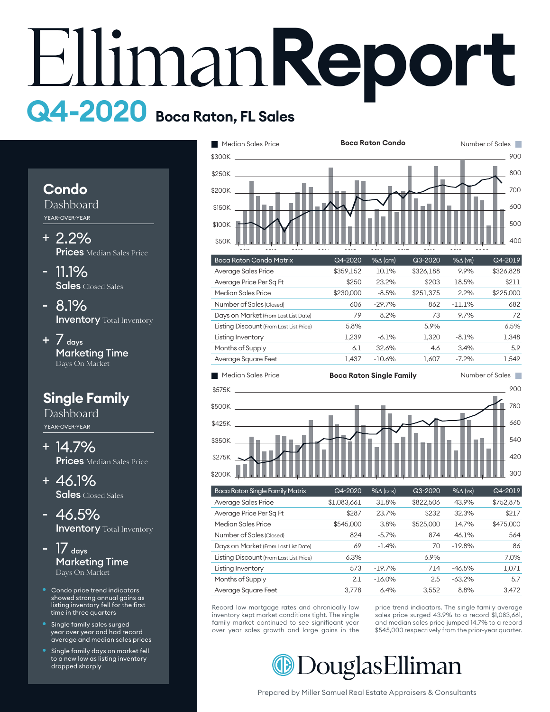# **Report Q4-2020 Boca Raton, FL Sales**

### **Condo**

Dashboard YEAR-OVER-YEAR

- 2.2% + **Prices** Median Sales Price
- 11.1% Sales Closed Sales
- 8.1% **Inventory** Total Inventory
- +  $7$  days Marketing Time Days On Market

# **Single Family**

Dashboard YEAR-OVER-YEAR

- 14.7% + Prices Median Sales Price
- 46.1% + Sales Closed Sales
- 46.5% **Inventory** Total Inventory -
- $17$  days Marketing Time Days On Market -
- Condo price trend indicators showed strong annual gains as listing inventory fell for the first time in three quarters
- Single family sales surged year over year and had record average and median sales prices
- Single family days on market fell to a new low as listing inventory dropped sharply





| Boca Raton Single Family Matrix         | $Q4 - 2020$ | $% \triangle (QTR)$ | $Q3 - 2020$ | $%$ $\Delta$ (YR) | $Q4 - 2019$ |
|-----------------------------------------|-------------|---------------------|-------------|-------------------|-------------|
| Average Sales Price                     | \$1,083,661 | 31.8%               | \$822,506   | 43.9%             | \$752,875   |
| Average Price Per Sq Ft                 | \$287       | 23.7%               | \$232       | 32.3%             | \$217       |
| Median Sales Price                      | \$545,000   | 3.8%                | \$525,000   | 14.7%             | \$475,000   |
| Number of Sales (Closed)                | 824         | $-5.7%$             | 874         | 46.1%             | 564         |
| Days on Market (From Last List Date)    | 69          | $-1.4%$             | 70          | $-19.8%$          | 86          |
| Listing Discount (From Last List Price) | 6.3%        |                     | 6.9%        |                   | 7.0%        |
| Listing Inventory                       | 573         | $-19.7%$            | 714         | $-46.5%$          | 1,071       |
| Months of Supply                        | 2.1         | $-16.0%$            | 2.5         | $-63.2%$          | 5.7         |
| Average Square Feet                     | 3.778       | 6.4%                | 3.552       | 8.8%              | 3.472       |

over year sales growth and large gains in the inventory kept market conditions tight. The single Record low mortgage rates and chronically low family market continued to see significant year

52 \$545,000 respectively from the prior-year quarter. sales price surged 43.9% to a record \$1,083,661, price trend indicators. The single family average and median sales price jumped 14.7% to a record